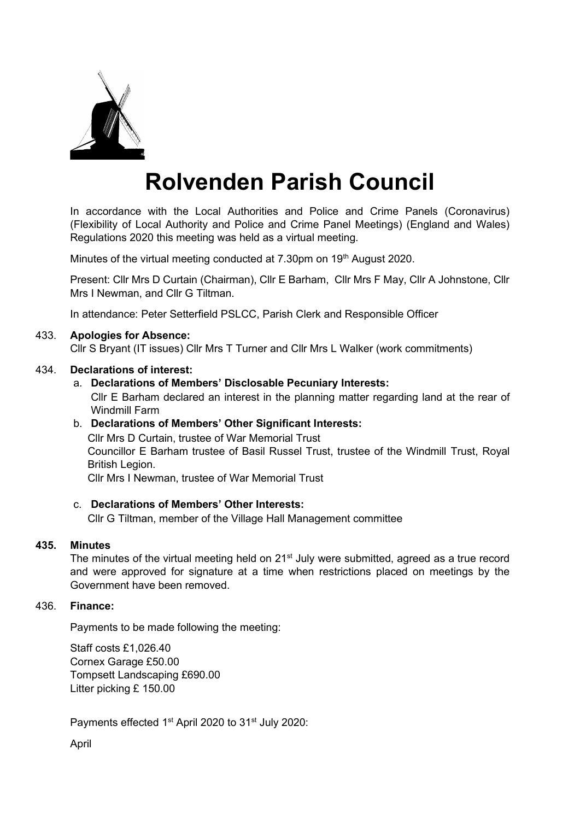

# **Rolvenden Parish Council**

In accordance with the Local Authorities and Police and Crime Panels (Coronavirus) (Flexibility of Local Authority and Police and Crime Panel Meetings) (England and Wales) Regulations 2020 this meeting was held as a virtual meeting.

Minutes of the virtual meeting conducted at 7.30pm on 19<sup>th</sup> August 2020.

Present: Cllr Mrs D Curtain (Chairman), Cllr E Barham, Cllr Mrs F May, Cllr A Johnstone, Cllr Mrs I Newman, and Cllr G Tiltman.

In attendance: Peter Setterfield PSLCC, Parish Clerk and Responsible Officer

# 433. **Apologies for Absence:**

Cllr S Bryant (IT issues) Cllr Mrs T Turner and Cllr Mrs L Walker (work commitments)

## 434. **Declarations of interest:**

a. **Declarations of Members' Disclosable Pecuniary Interests:**

Cllr E Barham declared an interest in the planning matter regarding land at the rear of Windmill Farm

## b. **Declarations of Members' Other Significant Interests:**

Cllr Mrs D Curtain, trustee of War Memorial Trust Councillor E Barham trustee of Basil Russel Trust, trustee of the Windmill Trust, Royal British Legion.

Cllr Mrs I Newman, trustee of War Memorial Trust

## c. **Declarations of Members' Other Interests:**

Cllr G Tiltman, member of the Village Hall Management committee

## **435. Minutes**

The minutes of the virtual meeting held on 21<sup>st</sup> July were submitted, agreed as a true record and were approved for signature at a time when restrictions placed on meetings by the Government have been removed.

# 436. **Finance:**

Payments to be made following the meeting:

Staff costs £1,026.40 Cornex Garage £50.00 Tompsett Landscaping £690.00 Litter picking £ 150.00

Payments effected 1<sup>st</sup> April 2020 to 31<sup>st</sup> July 2020:

April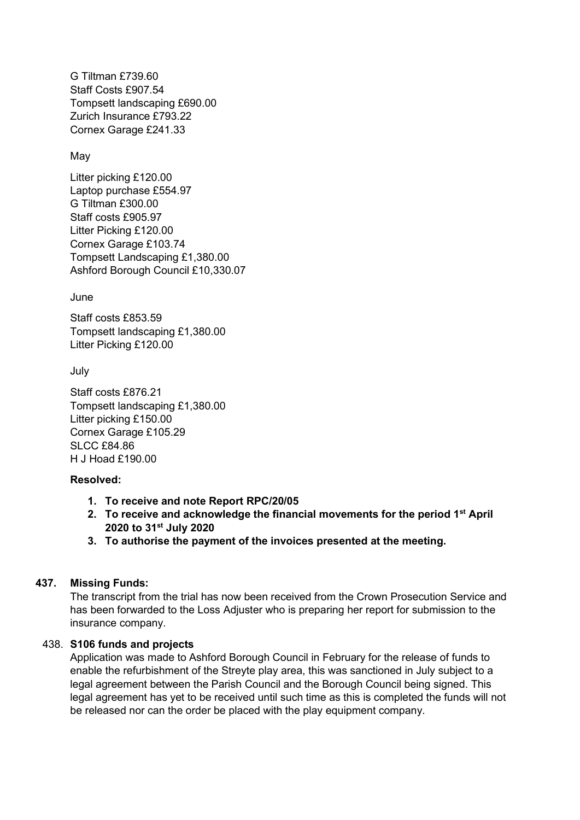G Tiltman £739.60 Staff Costs £907.54 Tompsett landscaping £690.00 Zurich Insurance £793.22 Cornex Garage £241.33

# May

Litter picking £120.00 Laptop purchase £554.97 G Tiltman £300.00 Staff costs £905.97 Litter Picking £120.00 Cornex Garage £103.74 Tompsett Landscaping £1,380.00 Ashford Borough Council £10,330.07

June

Staff costs £853.59 Tompsett landscaping £1,380.00 Litter Picking £120.00

July

Staff costs £876.21 Tompsett landscaping £1,380.00 Litter picking £150.00 Cornex Garage £105.29 SLCC £84.86 H J Hoad £190.00

# **Resolved:**

- **1. To receive and note Report RPC/20/05**
- **2. To receive and acknowledge the financial movements for the period 1st April 2020 to 31st July 2020**
- **3. To authorise the payment of the invoices presented at the meeting.**

# **437. Missing Funds:**

The transcript from the trial has now been received from the Crown Prosecution Service and has been forwarded to the Loss Adjuster who is preparing her report for submission to the insurance company.

# 438. **S106 funds and projects**

Application was made to Ashford Borough Council in February for the release of funds to enable the refurbishment of the Streyte play area, this was sanctioned in July subject to a legal agreement between the Parish Council and the Borough Council being signed. This legal agreement has yet to be received until such time as this is completed the funds will not be released nor can the order be placed with the play equipment company.